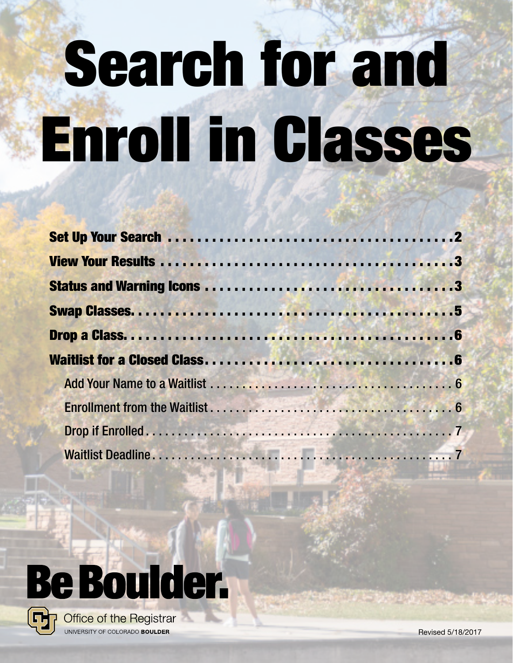# Search for and Enroll in Classes

| F. |  |
|----|--|
|    |  |
|    |  |





**Office of the Registrar** UNIVERSITY OF COLORADO BOULDER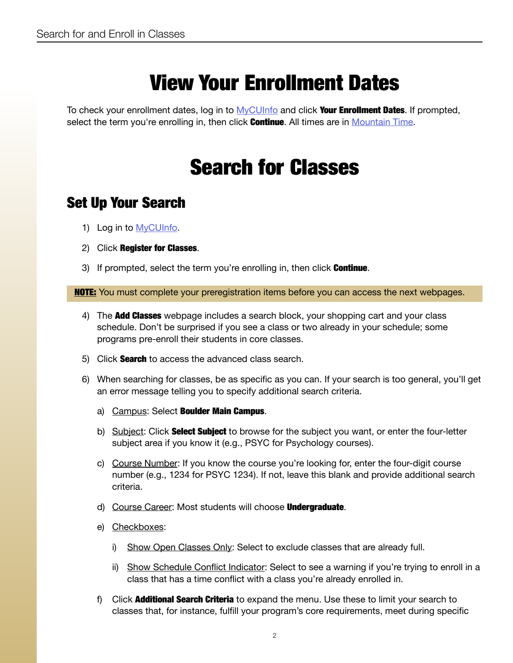# View Your Enrollment Dates

<span id="page-1-0"></span>To check your enrollment dates, log in to [MyCUInfo](http://mycuinfo.colorado.edu) and click Your Enrollment Dates. If prompted, select the term you're enrolling in, then click **Continue**. All times are in [Mountain Time](https://en.wikipedia.org/wiki/Mountain_Time_Zone).

# Search for Classes

## Set Up Your Search

- 1) Log in to [MyCUInfo.](http://mycuinfo.colorado.edu)
- 2) Click Register for Classes.
- 3) If prompted, select the term you're enrolling in, then click **Continue**.

**NOTE:** You must complete your preregistration items before you can access the next webpages.

- 4) The **Add Classes** webpage includes a search block, your shopping cart and your class schedule. Don't be surprised if you see a class or two already in your schedule; some programs pre-enroll their students in core classes.
- 5) Click **Search** to access the advanced class search.
- 6) When searching for classes, be as specific as you can. If your search is too general, you'll get an error message telling you to specify additional search criteria.
	- a) Campus: Select **Boulder Main Campus**.
	- b) Subject: Click **Select Subject** to browse for the subject you want, or enter the four-letter subject area if you know it (e.g., PSYC for Psychology courses).
	- c) Course Number: If you know the course you're looking for, enter the four-digit course number (e.g., 1234 for PSYC 1234). If not, leave this blank and provide additional search criteria.
	- d) Course Career: Most students will choose **Undergraduate**.
	- e) Checkboxes:
		- i) Show Open Classes Only: Select to exclude classes that are already full.
		- ii) Show Schedule Conflict Indicator: Select to see a warning if you're trying to enroll in a class that has a time conflict with a class you're already enrolled in.
	- f) Click **Additional Search Criteria** to expand the menu. Use these to limit your search to classes that, for instance, fulfill your program's core requirements, meet during specific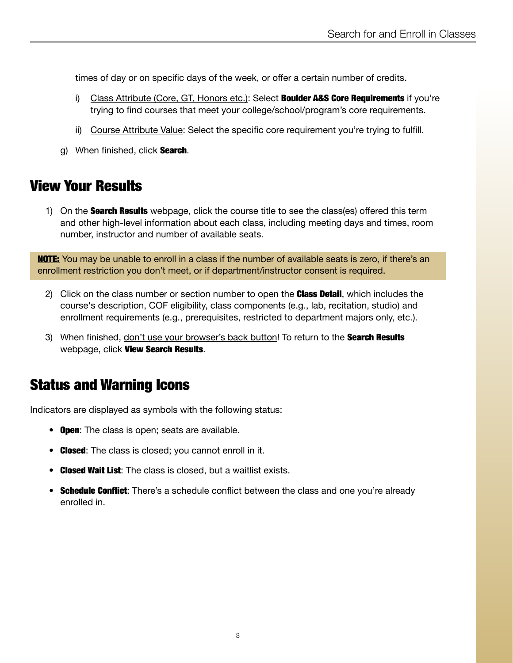<span id="page-2-0"></span>times of day or on specific days of the week, or offer a certain number of credits.

- i) Class Attribute (Core, GT, Honors etc.): Select **Boulder A&S Core Requirements** if you're trying to find courses that meet your college/school/program's core requirements.
- ii) Course Attribute Value: Select the specific core requirement you're trying to fulfill.
- g) When finished, click **Search**.

### View Your Results

1) On the **Search Results** webpage, click the course title to see the class(es) offered this term and other high-level information about each class, including meeting days and times, room number, instructor and number of available seats.

**NOTE:** You may be unable to enroll in a class if the number of available seats is zero, if there's an enrollment restriction you don't meet, or if department/instructor consent is required.

- 2) Click on the class number or section number to open the **Class Detail**, which includes the course's description, COF eligibility, class components (e.g., lab, recitation, studio) and enrollment requirements (e.g., prerequisites, restricted to department majors only, etc.).
- 3) When finished, don't use your browser's back button! To return to the **Search Results** webpage, click View Search Results.

## Status and Warning Icons

Indicators are displayed as symbols with the following status:

- Open: The class is open; seats are available.
- Closed: The class is closed; you cannot enroll in it.
- Closed Wait List: The class is closed, but a waitlist exists.
- **Schedule Conflict**: There's a schedule conflict between the class and one you're already enrolled in.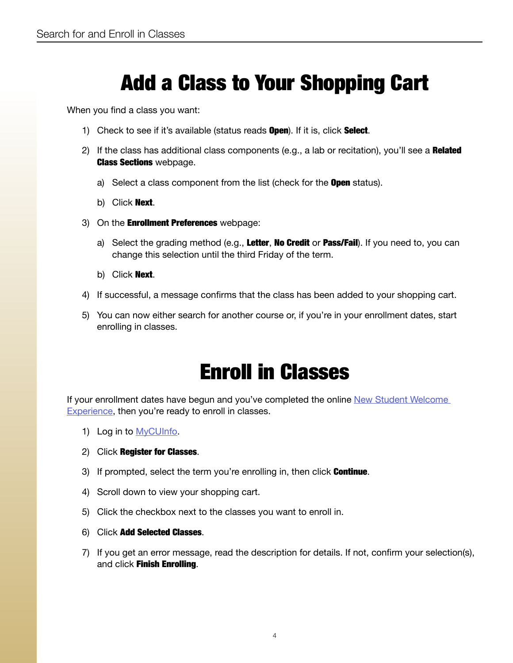# <span id="page-3-0"></span>Add a Class to Your Shopping Cart

When you find a class you want:

- 1) Check to see if it's available (status reads **Open**). If it is, click **Select**.
- 2) If the class has additional class components (e.g., a lab or recitation), you'll see a **Related Class Sections** webpage.
	- a) Select a class component from the list (check for the **Open** status).
	- b) Click Next.
- 3) On the **Enrollment Preferences** webpage:
	- a) Select the grading method (e.g., Letter, No Credit or Pass/Fail). If you need to, you can change this selection until the third Friday of the term.
	- b) Click **Next**.
- 4) If successful, a message confirms that the class has been added to your shopping cart.
- 5) You can now either search for another course or, if you're in your enrollment dates, start enrolling in classes.

## <span id="page-3-1"></span>Enroll in Classes

If your enrollment dates have begun and you've completed the online New Student Welcome [Experience,](http://learn.colorado.edu) then you're ready to enroll in classes.

- 1) Log in to [MyCUInfo.](http://mycuinfo.colorado.edu)
- 2) Click Register for Classes.
- 3) If prompted, select the term you're enrolling in, then click **Continue**.
- 4) Scroll down to view your shopping cart.
- 5) Click the checkbox next to the classes you want to enroll in.
- 6) Click Add Selected Classes.
- 7) If you get an error message, read the description for details. If not, confirm your selection(s), and click Finish Enrolling.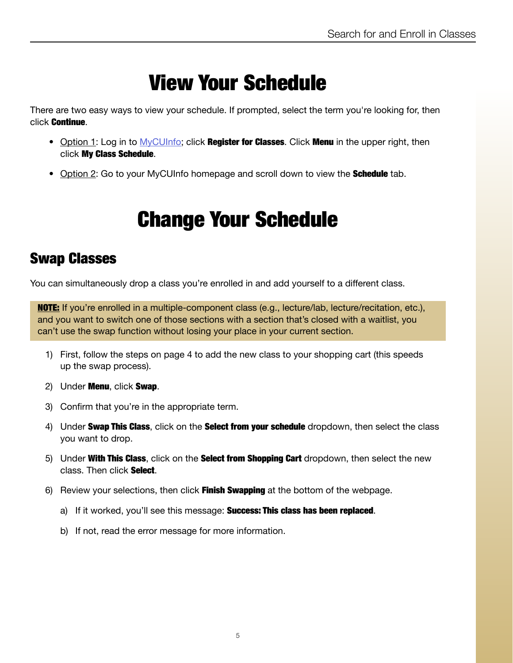# View Your Schedule

<span id="page-4-0"></span>There are two easy ways to view your schedule. If prompted, select the term you're looking for, then click Continue.

- Option 1: Log in to  $MyCUInfo$ ; click **Register for Classes**. Click **Menu** in the upper right, then click My Class Schedule.
- Option 2: Go to your MyCUInfo homepage and scroll down to view the **Schedule** tab.

# Change Your Schedule

## Swap Classes

You can simultaneously drop a class you're enrolled in and add yourself to a different class.

**NOTE:** If you're enrolled in a multiple-component class (e.g., lecture/lab, lecture/recitation, etc.), and you want to switch one of those sections with a section that's closed with a waitlist, you can't use the swap function without losing your place in your current section.

- 1) First, follow the steps on [page 4](#page-3-0) to add the new class to your shopping cart (this speeds up the swap process).
- 2) Under Menu, click Swap.
- 3) Confirm that you're in the appropriate term.
- 4) Under **Swap This Class**, click on the **Select from your schedule** dropdown, then select the class you want to drop.
- 5) Under **With This Class**, click on the **Select from Shopping Cart** dropdown, then select the new class. Then click **Select**.
- 6) Review your selections, then click **Finish Swapping** at the bottom of the webpage.
	- a) If it worked, you'll see this message: **Success: This class has been replaced**.
	- b) If not, read the error message for more information.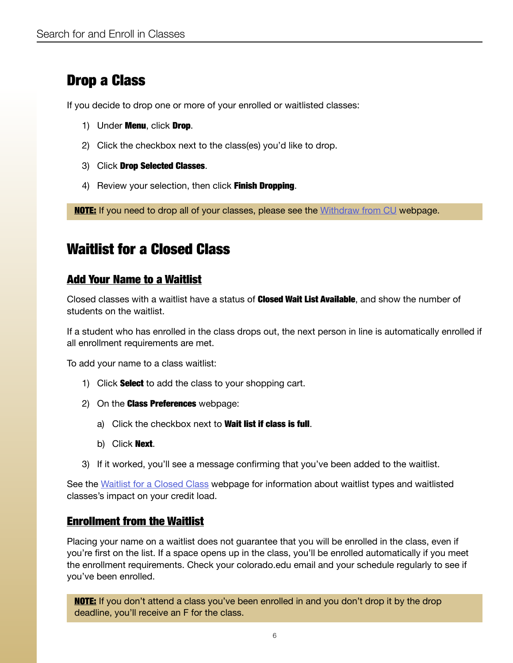## <span id="page-5-0"></span>Drop a Class

If you decide to drop one or more of your enrolled or waitlisted classes:

- 1) Under Menu, click Drop.
- 2) Click the checkbox next to the class(es) you'd like to drop.
- 3) Click Drop Selected Classes.
- 4) Review your selection, then click Finish Dropping.

**NOTE:** If you need to drop all of your classes, please see the [Withdraw from CU](http://www.colorado.edu/registrar/students/withdraw-cu) webpage.

## Waitlist for a Closed Class

#### Add Your Name to a Waitlist

Closed classes with a waitlist have a status of Closed Wait List Available, and show the number of students on the waitlist.

If a student who has enrolled in the class drops out, the next person in line is automatically enrolled if all enrollment requirements are met.

To add your name to a class waitlist:

- 1) Click **Select** to add the class to your shopping cart.
- 2) On the **Class Preferences** webpage:
	- a) Click the checkbox next to **Wait list if class is full**.
	- b) Click **Next**.
- 3) If it worked, you'll see a message confirming that you've been added to the waitlist.

See the [Waitlist for a Closed Class](http://www.colorado.edu/registrar/students/registration/enroll/waitlist) webpage for information about waitlist types and waitlisted classes's impact on your credit load.

#### Enrollment from the Waitlist

Placing your name on a waitlist does not guarantee that you will be enrolled in the class, even if you're first on the list. If a space opens up in the class, you'll be enrolled automatically if you meet the enrollment requirements. Check your colorado.edu email and your schedule regularly to see if you've been enrolled.

**NOTE:** If you don't attend a class you've been enrolled in and you don't drop it by the drop deadline, you'll receive an F for the class.